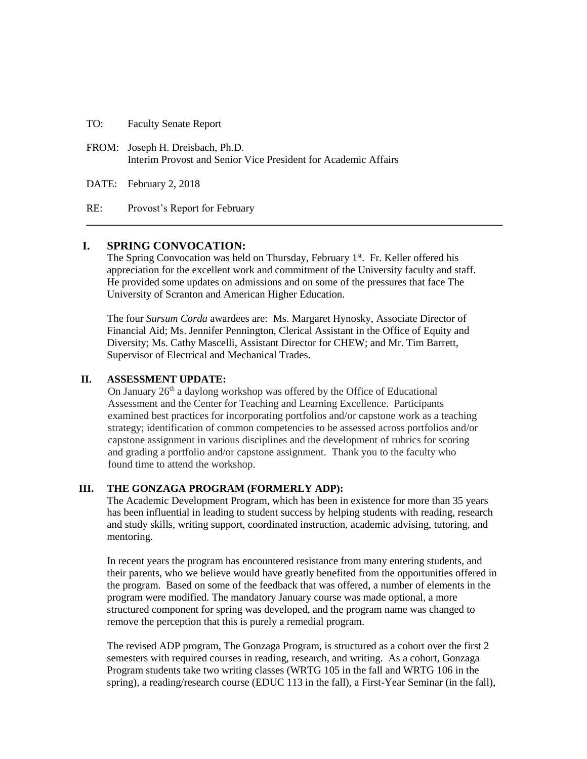TO: Faculty Senate Report

FROM: Joseph H. Dreisbach, Ph.D. Interim Provost and Senior Vice President for Academic Affairs

DATE: February 2, 2018

RE: Provost's Report for February

# **I. SPRING CONVOCATION:**

The Spring Convocation was held on Thursday, February 1<sup>st</sup>. Fr. Keller offered his appreciation for the excellent work and commitment of the University faculty and staff. He provided some updates on admissions and on some of the pressures that face The University of Scranton and American Higher Education.

**\_\_\_\_\_\_\_\_\_\_\_\_\_\_\_\_\_\_\_\_\_\_\_\_\_\_\_\_\_\_\_\_\_\_\_\_\_\_\_\_\_\_\_\_\_\_\_\_\_\_\_\_\_\_\_\_\_\_\_\_\_\_\_\_\_\_\_\_\_\_\_\_\_\_\_\_\_\_\_**

The four *Sursum Corda* awardees are: Ms. Margaret Hynosky, Associate Director of Financial Aid; Ms. Jennifer Pennington, Clerical Assistant in the Office of Equity and Diversity; Ms. Cathy Mascelli, Assistant Director for CHEW; and Mr. Tim Barrett, Supervisor of Electrical and Mechanical Trades.

### **II. ASSESSMENT UPDATE:**

On January  $26<sup>th</sup>$  a daylong workshop was offered by the Office of Educational Assessment and the Center for Teaching and Learning Excellence. Participants examined best practices for incorporating portfolios and/or capstone work as a teaching strategy; identification of common competencies to be assessed across portfolios and/or capstone assignment in various disciplines and the development of rubrics for scoring and grading a portfolio and/or capstone assignment. Thank you to the faculty who found time to attend the workshop.

# **III. THE GONZAGA PROGRAM (FORMERLY ADP):**

The Academic Development Program, which has been in existence for more than 35 years has been influential in leading to student success by helping students with reading, research and study skills, writing support, coordinated instruction, academic advising, tutoring, and mentoring.

In recent years the program has encountered resistance from many entering students, and their parents, who we believe would have greatly benefited from the opportunities offered in the program. Based on some of the feedback that was offered, a number of elements in the program were modified. The mandatory January course was made optional, a more structured component for spring was developed, and the program name was changed to remove the perception that this is purely a remedial program.

The revised ADP program, The Gonzaga Program, is structured as a cohort over the first 2 semesters with required courses in reading, research, and writing. As a cohort, Gonzaga Program students take two writing classes (WRTG 105 in the fall and WRTG 106 in the spring), a reading/research course (EDUC 113 in the fall), a First-Year Seminar (in the fall),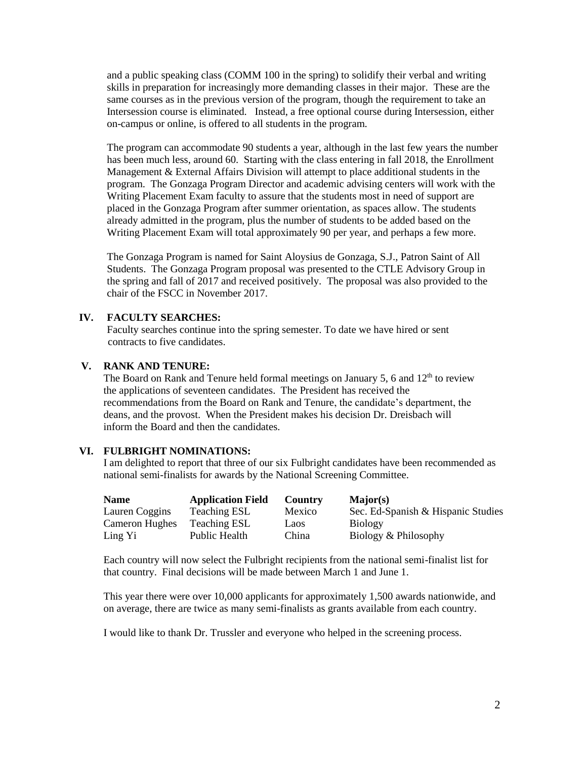and a public speaking class (COMM 100 in the spring) to solidify their verbal and writing skills in preparation for increasingly more demanding classes in their major. These are the same courses as in the previous version of the program, though the requirement to take an Intersession course is eliminated. Instead, a free optional course during Intersession, either on-campus or online, is offered to all students in the program.

The program can accommodate 90 students a year, although in the last few years the number has been much less, around 60. Starting with the class entering in fall 2018, the Enrollment Management & External Affairs Division will attempt to place additional students in the program. The Gonzaga Program Director and academic advising centers will work with the Writing Placement Exam faculty to assure that the students most in need of support are placed in the Gonzaga Program after summer orientation, as spaces allow. The students already admitted in the program, plus the number of students to be added based on the Writing Placement Exam will total approximately 90 per year, and perhaps a few more.

The Gonzaga Program is named for Saint Aloysius de Gonzaga, S.J., Patron Saint of All Students. The Gonzaga Program proposal was presented to the CTLE Advisory Group in the spring and fall of 2017 and received positively. The proposal was also provided to the chair of the FSCC in November 2017.

### **IV. FACULTY SEARCHES:**

Faculty searches continue into the spring semester. To date we have hired or sent contracts to five candidates.

### **V. RANK AND TENURE:**

The Board on Rank and Tenure held formal meetings on January 5, 6 and  $12<sup>th</sup>$  to review the applications of seventeen candidates. The President has received the recommendations from the Board on Rank and Tenure, the candidate's department, the deans, and the provost. When the President makes his decision Dr. Dreisbach will inform the Board and then the candidates.

# **VI. FULBRIGHT NOMINATIONS:**

I am delighted to report that three of our six Fulbright candidates have been recommended as national semi-finalists for awards by the National Screening Committee.

| <b>Name</b>           | <b>Application Field</b> | Country | <b>Major(s)</b>                    |
|-----------------------|--------------------------|---------|------------------------------------|
| Lauren Coggins        | <b>Teaching ESL</b>      | Mexico  | Sec. Ed-Spanish & Hispanic Studies |
| <b>Cameron Hughes</b> | <b>Teaching ESL</b>      | Laos    | <b>Biology</b>                     |
| Ling Yi               | Public Health            | China   | Biology & Philosophy               |

Each country will now select the Fulbright recipients from the national semi-finalist list for that country. Final decisions will be made between March 1 and June 1.

This year there were over 10,000 applicants for approximately 1,500 awards nationwide, and on average, there are twice as many semi-finalists as grants available from each country.

I would like to thank Dr. Trussler and everyone who helped in the screening process.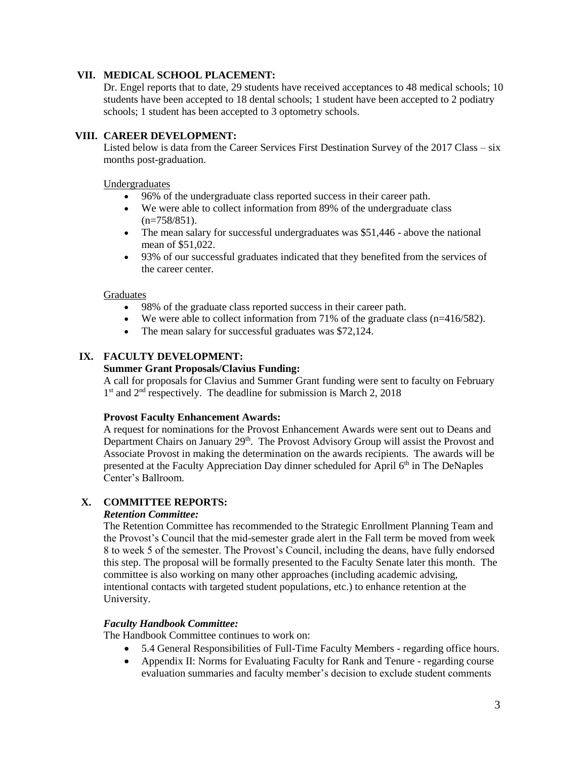# **VII. MEDICAL SCHOOL PLACEMENT:**

Dr. Engel reports that to date, 29 students have received acceptances to 48 medical schools; 10 students have been accepted to 18 dental schools; 1 student have been accepted to 2 podiatry schools; 1 student has been accepted to 3 optometry schools.

# **VIII. CAREER DEVELOPMENT:**

Listed below is data from the Career Services First Destination Survey of the 2017 Class – six months post-graduation.

### Undergraduates

- 96% of the undergraduate class reported success in their career path.
- We were able to collect information from 89% of the undergraduate class  $(n=758/851)$ .
- The mean salary for successful undergraduates was \$51,446 above the national mean of \$51,022.
- 93% of our successful graduates indicated that they benefited from the services of the career center.

# **Graduates**

- 98% of the graduate class reported success in their career path.
- We were able to collect information from 71% of the graduate class  $(n=416/582)$ .
- The mean salary for successful graduates was \$72,124.

# **IX. FACULTY DEVELOPMENT:**

# **Summer Grant Proposals/Clavius Funding:**

A call for proposals for Clavius and Summer Grant funding were sent to faculty on February 1<sup>st</sup> and 2<sup>nd</sup> respectively. The deadline for submission is March 2, 2018

#### **Provost Faculty Enhancement Awards:**

A request for nominations for the Provost Enhancement Awards were sent out to Deans and Department Chairs on January 29<sup>th</sup>. The Provost Advisory Group will assist the Provost and Associate Provost in making the determination on the awards recipients. The awards will be presented at the Faculty Appreciation Day dinner scheduled for April 6<sup>th</sup> in The DeNaples Center's Ballroom.

# **X. COMMITTEE REPORTS:**

#### *Retention Committee:*

The Retention Committee has recommended to the Strategic Enrollment Planning Team and the Provost's Council that the mid-semester grade alert in the Fall term be moved from week 8 to week 5 of the semester. The Provost's Council, including the deans, have fully endorsed this step. The proposal will be formally presented to the Faculty Senate later this month. The committee is also working on many other approaches (including academic advising, intentional contacts with targeted student populations, etc.) to enhance retention at the University.

# *Faculty Handbook Committee:*

The Handbook Committee continues to work on:

- 5.4 General Responsibilities of Full-Time Faculty Members regarding office hours.
- Appendix II: Norms for Evaluating Faculty for Rank and Tenure regarding course evaluation summaries and faculty member's decision to exclude student comments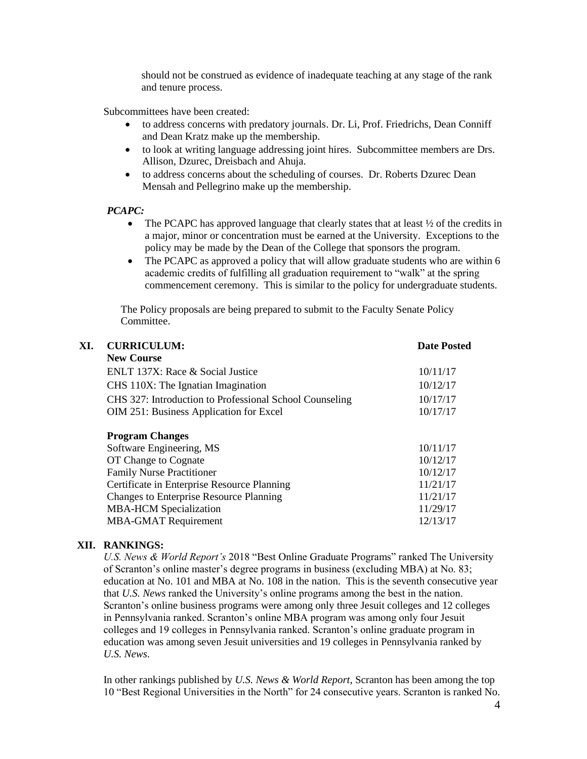should not be construed as evidence of inadequate teaching at any stage of the rank and tenure process.

Subcommittees have been created:

- to address concerns with predatory journals. Dr. Li, Prof. Friedrichs, Dean Conniff and Dean Kratz make up the membership.
- to look at writing language addressing joint hires. Subcommittee members are Drs. Allison, Dzurec, Dreisbach and Ahuja.
- to address concerns about the scheduling of courses. Dr. Roberts Dzurec Dean Mensah and Pellegrino make up the membership.

# *PCAPC:*

- The PCAPC has approved language that clearly states that at least  $\frac{1}{2}$  of the credits in a major, minor or concentration must be earned at the University. Exceptions to the policy may be made by the Dean of the College that sponsors the program.
- The PCAPC as approved a policy that will allow graduate students who are within 6 academic credits of fulfilling all graduation requirement to "walk" at the spring commencement ceremony. This is similar to the policy for undergraduate students.

The Policy proposals are being prepared to submit to the Faculty Senate Policy Committee.

| XI. | <b>CURRICULUM:</b>                                      | <b>Date Posted</b> |
|-----|---------------------------------------------------------|--------------------|
|     | <b>New Course</b>                                       |                    |
|     | ENLT 137X: Race & Social Justice                        | 10/11/17           |
|     | CHS 110X: The Ignatian Imagination                      | 10/12/17           |
|     | CHS 327: Introduction to Professional School Counseling | 10/17/17           |
|     | OIM 251: Business Application for Excel                 | 10/17/17           |
|     | <b>Program Changes</b>                                  |                    |
|     | Software Engineering, MS                                | 10/11/17           |
|     | OT Change to Cognate                                    | 10/12/17           |
|     | <b>Family Nurse Practitioner</b>                        | 10/12/17           |
|     | Certificate in Enterprise Resource Planning             | 11/21/17           |
|     | <b>Changes to Enterprise Resource Planning</b>          | 11/21/17           |
|     | <b>MBA-HCM</b> Specialization                           | 11/29/17           |
|     | <b>MBA-GMAT Requirement</b>                             | 12/13/17           |
|     |                                                         |                    |

# **XII. RANKINGS:**

*U.S. News & World Report's* 2018 "Best Online Graduate Programs" ranked The University of Scranton's online master's degree programs in business (excluding MBA) at No. 83; education at No. 101 and MBA at No. 108 in the nation. This is the seventh consecutive year that *U.S. News* ranked the University's online programs among the best in the nation. Scranton's online business programs were among only three Jesuit colleges and 12 colleges in Pennsylvania ranked. Scranton's online MBA program was among only four Jesuit colleges and 19 colleges in Pennsylvania ranked. Scranton's online graduate program in education was among seven Jesuit universities and 19 colleges in Pennsylvania ranked by *U.S. News*.

In other rankings published by *U.S. News & World Report*, Scranton has been among the top 10 "Best Regional Universities in the North" for 24 consecutive years. Scranton is ranked No.